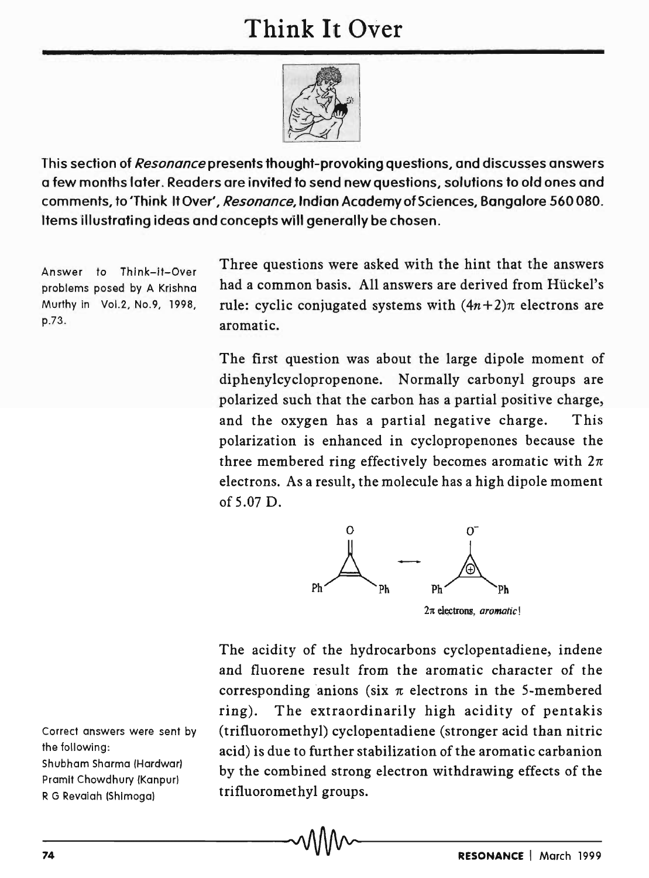## **Think It Over**



This section of *Resonance* presents thought-provoking questions, and discusses answers a few months later. Readers are invited to send new questions, solutions to old ones and comments, to'Think It Over', *Resonance,* Indian Academy of Sciences , Bangalore 560080. Items illustrating ideas and concepts will generally be chosen.

Answer to Think-if-Over problems posed by A Krishna Murthy in Vol.2, No.9, 1998, p.73.

Three questions were asked with the hint that the answers had a common basis. All answers are derived from Hückel's rule: cyclic conjugated systems with  $(4n+2)\pi$  electrons are aromatic.

The first question was about the large dipole moment of diphenylcyclopropenone. Normally carbonyl groups are polarized such that the carbon has a partial positive charge, and the oxygen has a partial negative charge. This polarization is enhanced in cyclopropenones because the three membered ring effectively becomes aromatic with  $2\pi$ electrons. As a result, the molecule has a high dipole moment of 5.07 D.



The acidity of the hydrocarbons cyclopentadiene, indene and fluorene result from the aromatic character of the corresponding anions (six  $\pi$  electrons in the 5-membered ring). The extraordinarily high acidity of pentakis (trifluoromethyl) cyclopentadiene (stronger acid than nitric acid) is due to further stabilization of the aromatic carbanion by the combined strong electron withdrawing effects of the trifluoromethyl groups.

Correct answers were sent by the following: Shubham Sharma (Hardwar) Pramit Chowdhury (Kanpur) R G Revaiah (Shimoga)